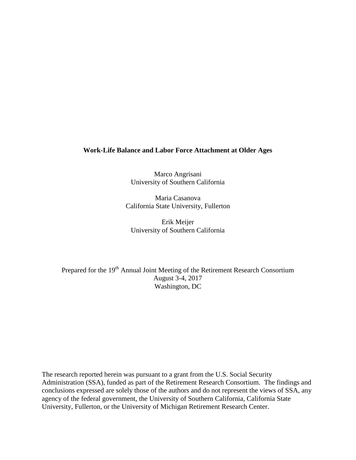## **Work-Life Balance and Labor Force Attachment at Older Ages**

Marco Angrisani University of Southern California

Maria Casanova California State University, Fullerton

Erik Meijer University of Southern California

Prepared for the 19<sup>th</sup> Annual Joint Meeting of the Retirement Research Consortium August 3-4, 2017 Washington, DC

The research reported herein was pursuant to a grant from the U.S. Social Security Administration (SSA), funded as part of the Retirement Research Consortium. The findings and conclusions expressed are solely those of the authors and do not represent the views of SSA, any agency of the federal government, the University of Southern California, California State University, Fullerton, or the University of Michigan Retirement Research Center.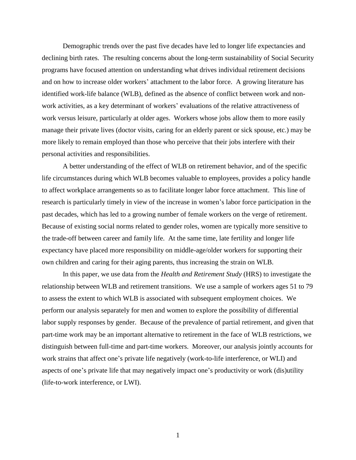Demographic trends over the past five decades have led to longer life expectancies and declining birth rates. The resulting concerns about the long-term sustainability of Social Security programs have focused attention on understanding what drives individual retirement decisions and on how to increase older workers' attachment to the labor force. A growing literature has identified work-life balance (WLB), defined as the absence of conflict between work and nonwork activities, as a key determinant of workers' evaluations of the relative attractiveness of work versus leisure, particularly at older ages. Workers whose jobs allow them to more easily manage their private lives (doctor visits, caring for an elderly parent or sick spouse, etc.) may be more likely to remain employed than those who perceive that their jobs interfere with their personal activities and responsibilities.

A better understanding of the effect of WLB on retirement behavior, and of the specific life circumstances during which WLB becomes valuable to employees, provides a policy handle to affect workplace arrangements so as to facilitate longer labor force attachment. This line of research is particularly timely in view of the increase in women's labor force participation in the past decades, which has led to a growing number of female workers on the verge of retirement. Because of existing social norms related to gender roles, women are typically more sensitive to the trade-off between career and family life. At the same time, late fertility and longer life expectancy have placed more responsibility on middle-age/older workers for supporting their own children and caring for their aging parents, thus increasing the strain on WLB.

In this paper, we use data from the *Health and Retirement Study* (HRS) to investigate the relationship between WLB and retirement transitions. We use a sample of workers ages 51 to 79 to assess the extent to which WLB is associated with subsequent employment choices. We perform our analysis separately for men and women to explore the possibility of differential labor supply responses by gender. Because of the prevalence of partial retirement, and given that part-time work may be an important alternative to retirement in the face of WLB restrictions, we distinguish between full-time and part-time workers. Moreover, our analysis jointly accounts for work strains that affect one's private life negatively (work-to-life interference, or WLI) and aspects of one's private life that may negatively impact one's productivity or work (dis)utility (life-to-work interference, or LWI).

1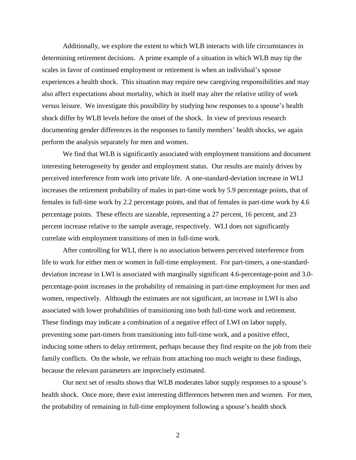Additionally, we explore the extent to which WLB interacts with life circumstances in determining retirement decisions. A prime example of a situation in which WLB may tip the scales in favor of continued employment or retirement is when an individual's spouse experiences a health shock. This situation may require new caregiving responsibilities and may also affect expectations about mortality, which in itself may alter the relative utility of work versus leisure. We investigate this possibility by studying how responses to a spouse's health shock differ by WLB levels before the onset of the shock. In view of previous research documenting gender differences in the responses to family members' health shocks, we again perform the analysis separately for men and women.

We find that WLB is significantly associated with employment transitions and document interesting heterogeneity by gender and employment status. Our results are mainly driven by perceived interference from work into private life. A one-standard-deviation increase in WLI increases the retirement probability of males in part-time work by 5.9 percentage points, that of females in full-time work by 2.2 percentage points, and that of females in part-time work by 4.6 percentage points. These effects are sizeable, representing a 27 percent, 16 percent, and 23 percent increase relative to the sample average, respectively. WLI does not significantly correlate with employment transitions of men in full-time work.

After controlling for WLI, there is no association between perceived interference from life to work for either men or women in full-time employment. For part-timers, a one-standarddeviation increase in LWI is associated with marginally significant 4.6-percentage-point and 3.0 percentage-point increases in the probability of remaining in part-time employment for men and women, respectively. Although the estimates are not significant, an increase in LWI is also associated with lower probabilities of transitioning into both full-time work and retirement. These findings may indicate a combination of a negative effect of LWI on labor supply, preventing some part-timers from transitioning into full-time work, and a positive effect, inducing some others to delay retirement, perhaps because they find respite on the job from their family conflicts. On the whole, we refrain from attaching too much weight to these findings, because the relevant parameters are imprecisely estimated.

Our next set of results shows that WLB moderates labor supply responses to a spouse's health shock. Once more, there exist interesting differences between men and women. For men, the probability of remaining in full-time employment following a spouse's health shock

2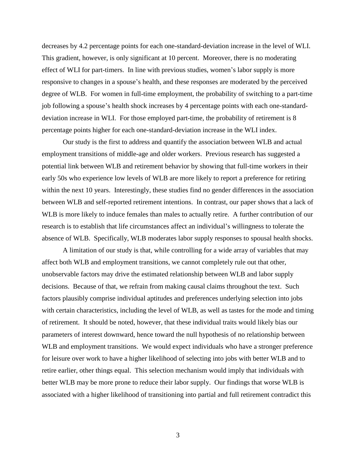decreases by 4.2 percentage points for each one-standard-deviation increase in the level of WLI. This gradient, however, is only significant at 10 percent. Moreover, there is no moderating effect of WLI for part-timers. In line with previous studies, women's labor supply is more responsive to changes in a spouse's health, and these responses are moderated by the perceived degree of WLB. For women in full-time employment, the probability of switching to a part-time job following a spouse's health shock increases by 4 percentage points with each one-standarddeviation increase in WLI. For those employed part-time, the probability of retirement is 8 percentage points higher for each one-standard-deviation increase in the WLI index.

Our study is the first to address and quantify the association between WLB and actual employment transitions of middle-age and older workers. Previous research has suggested a potential link between WLB and retirement behavior by showing that full-time workers in their early 50s who experience low levels of WLB are more likely to report a preference for retiring within the next 10 years. Interestingly, these studies find no gender differences in the association between WLB and self-reported retirement intentions. In contrast, our paper shows that a lack of WLB is more likely to induce females than males to actually retire. A further contribution of our research is to establish that life circumstances affect an individual's willingness to tolerate the absence of WLB. Specifically, WLB moderates labor supply responses to spousal health shocks.

A limitation of our study is that, while controlling for a wide array of variables that may affect both WLB and employment transitions, we cannot completely rule out that other, unobservable factors may drive the estimated relationship between WLB and labor supply decisions. Because of that, we refrain from making causal claims throughout the text. Such factors plausibly comprise individual aptitudes and preferences underlying selection into jobs with certain characteristics, including the level of WLB, as well as tastes for the mode and timing of retirement. It should be noted, however, that these individual traits would likely bias our parameters of interest downward, hence toward the null hypothesis of no relationship between WLB and employment transitions. We would expect individuals who have a stronger preference for leisure over work to have a higher likelihood of selecting into jobs with better WLB and to retire earlier, other things equal. This selection mechanism would imply that individuals with better WLB may be more prone to reduce their labor supply. Our findings that worse WLB is associated with a higher likelihood of transitioning into partial and full retirement contradict this

3